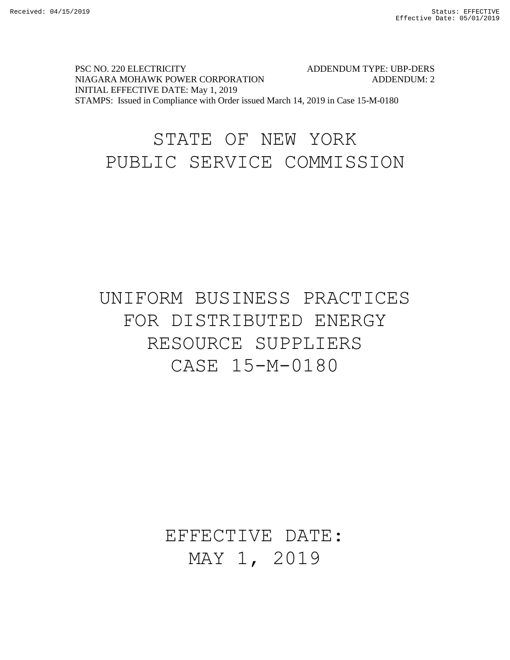PSC NO. 220 ELECTRICITY ADDENDUM TYPE: UBP-DERS NIAGARA MOHAWK POWER CORPORATION ADDENDUM: 2 INITIAL EFFECTIVE DATE: May 1, 2019 STAMPS: Issued in Compliance with Order issued March 14, 2019 in Case 15-M-0180

# STATE OF NEW YORK PUBLIC SERVICE COMMISSION

# UNIFORM BUSINESS PRACTICES FOR DISTRIBUTED ENERGY RESOURCE SUPPLIERS CASE 15-M-0180

# EFFECTIVE DATE: MAY 1, 2019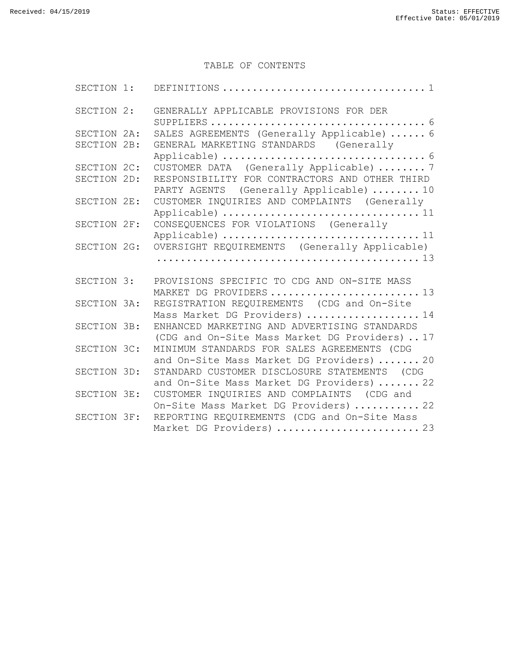#### TABLE OF CONTENTS

| SECTION 2:  | GENERALLY APPLICABLE PROVISIONS FOR DER                                                        |
|-------------|------------------------------------------------------------------------------------------------|
| SECTION 2A: | SALES AGREEMENTS (Generally Applicable)  6                                                     |
| SECTION 2B: | GENERAL MARKETING STANDARDS (Generally                                                         |
| SECTION 2C: | CUSTOMER DATA (Generally Applicable)  7                                                        |
| SECTION 2D: | RESPONSIBILITY FOR CONTRACTORS AND OTHER THIRD<br>PARTY AGENTS (Generally Applicable)  10      |
| SECTION 2E: | CUSTOMER INQUIRIES AND COMPLAINTS (Generally<br>Applicable)  11                                |
| SECTION 2F: | CONSEQUENCES FOR VIOLATIONS (Generally<br>Applicable)  11                                      |
| SECTION 2G: | OVERSIGHT REQUIREMENTS (Generally Applicable)                                                  |
|             |                                                                                                |
| SECTION 3:  | PROVISIONS SPECIFIC TO CDG AND ON-SITE MASS<br>MARKET DG PROVIDERS  13                         |
| SECTION 3A: | REGISTRATION REQUIREMENTS (CDG and On-Site<br>Mass Market DG Providers)  14                    |
| SECTION 3B: | ENHANCED MARKETING AND ADVERTISING STANDARDS<br>(CDG and On-Site Mass Market DG Providers)  17 |
| SECTION 3C: | MINIMUM STANDARDS FOR SALES AGREEMENTS (CDG<br>and On-Site Mass Market DG Providers)  20       |
| SECTION 3D: | STANDARD CUSTOMER DISCLOSURE STATEMENTS (CDG<br>and On-Site Mass Market DG Providers)  22      |
| SECTION 3E: | CUSTOMER INQUIRIES AND COMPLAINTS (CDG and<br>On-Site Mass Market DG Providers)  22            |
| SECTION 3F: | REPORTING REQUIREMENTS (CDG and On-Site Mass<br>Market DG Providers)  23                       |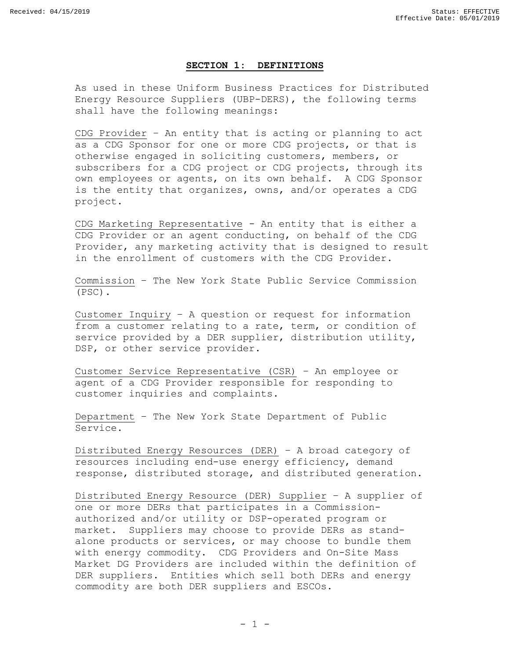#### **SECTION 1: DEFINITIONS**

<span id="page-2-0"></span>As used in these Uniform Business Practices for Distributed Energy Resource Suppliers (UBP-DERS), the following terms shall have the following meanings:

CDG Provider – An entity that is acting or planning to act as a CDG Sponsor for one or more CDG projects, or that is otherwise engaged in soliciting customers, members, or subscribers for a CDG project or CDG projects, through its own employees or agents, on its own behalf. A CDG Sponsor is the entity that organizes, owns, and/or operates a CDG project.

CDG Marketing Representative - An entity that is either a CDG Provider or an agent conducting, on behalf of the CDG Provider, any marketing activity that is designed to result in the enrollment of customers with the CDG Provider.

Commission – The New York State Public Service Commission (PSC).

Customer Inquiry – A question or request for information from a customer relating to a rate, term, or condition of service provided by a DER supplier, distribution utility, DSP, or other service provider.

Customer Service Representative (CSR) – An employee or agent of a CDG Provider responsible for responding to customer inquiries and complaints.

Department – The New York State Department of Public Service.

Distributed Energy Resources (DER) – A broad category of resources including end-use energy efficiency, demand response, distributed storage, and distributed generation.

Distributed Energy Resource (DER) Supplier – A supplier of one or more DERs that participates in a Commissionauthorized and/or utility or DSP-operated program or market. Suppliers may choose to provide DERs as standalone products or services, or may choose to bundle them with energy commodity. CDG Providers and On-Site Mass Market DG Providers are included within the definition of DER suppliers. Entities which sell both DERs and energy commodity are both DER suppliers and ESCOs.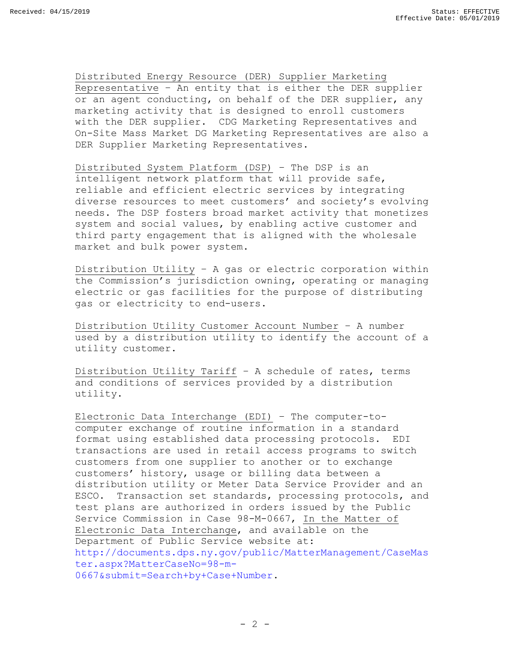Distributed Energy Resource (DER) Supplier Marketing Representative – An entity that is either the DER supplier or an agent conducting, on behalf of the DER supplier, any marketing activity that is designed to enroll customers with the DER supplier. CDG Marketing Representatives and On-Site Mass Market DG Marketing Representatives are also a DER Supplier Marketing Representatives.

Distributed System Platform (DSP) – The DSP is an intelligent network platform that will provide safe, reliable and efficient electric services by integrating diverse resources to meet customers' and society's evolving needs. The DSP fosters broad market activity that monetizes system and social values, by enabling active customer and third party engagement that is aligned with the wholesale market and bulk power system.

Distribution Utility – A gas or electric corporation within the Commission's jurisdiction owning, operating or managing electric or gas facilities for the purpose of distributing gas or electricity to end-users.

Distribution Utility Customer Account Number – A number used by a distribution utility to identify the account of a utility customer.

Distribution Utility Tariff – A schedule of rates, terms and conditions of services provided by a distribution utility.

Electronic Data Interchange (EDI) – The computer-tocomputer exchange of routine information in a standard format using established data processing protocols. EDI transactions are used in retail access programs to switch customers from one supplier to another or to exchange customers' history, usage or billing data between a distribution utility or Meter Data Service Provider and an ESCO. Transaction set standards, processing protocols, and test plans are authorized in orders issued by the Public Service Commission in Case 98-M-0667, In the Matter of Electronic Data Interchange, and available on the Department of Public Service website at: [http://documents.dps.ny.gov/public/MatterManagement/CaseMas](http://documents.dps.ny.gov/public/MatterManagement/CaseMaster.aspx?MatterCaseNo=98-m-0667&submit=Search+by+Case+Number) [ter.aspx?MatterCaseNo=98-m-](http://documents.dps.ny.gov/public/MatterManagement/CaseMaster.aspx?MatterCaseNo=98-m-0667&submit=Search+by+Case+Number)[0667&submit=Search+by+Case+Number.](http://documents.dps.ny.gov/public/MatterManagement/CaseMaster.aspx?MatterCaseNo=98-m-0667&submit=Search+by+Case+Number)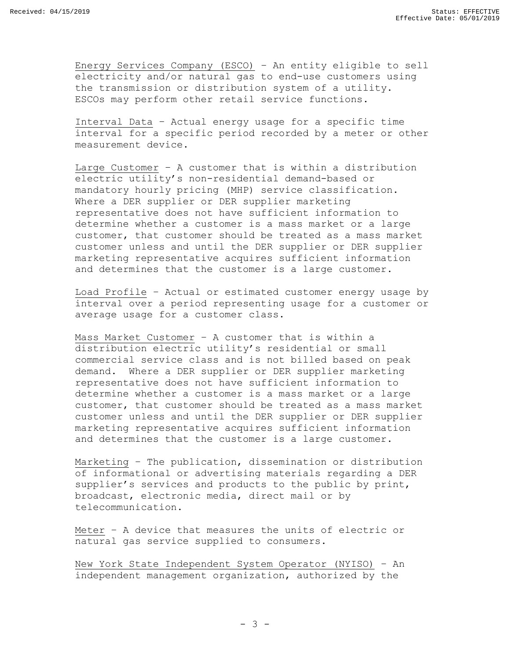Energy Services Company (ESCO) – An entity eligible to sell electricity and/or natural gas to end-use customers using the transmission or distribution system of a utility. ESCOs may perform other retail service functions.

Interval Data – Actual energy usage for a specific time interval for a specific period recorded by a meter or other measurement device.

Large Customer – A customer that is within a distribution electric utility's non-residential demand-based or mandatory hourly pricing (MHP) service classification. Where a DER supplier or DER supplier marketing representative does not have sufficient information to determine whether a customer is a mass market or a large customer, that customer should be treated as a mass market customer unless and until the DER supplier or DER supplier marketing representative acquires sufficient information and determines that the customer is a large customer.

Load Profile – Actual or estimated customer energy usage by interval over a period representing usage for a customer or average usage for a customer class.

Mass Market Customer – A customer that is within a distribution electric utility's residential or small commercial service class and is not billed based on peak demand. Where a DER supplier or DER supplier marketing representative does not have sufficient information to determine whether a customer is a mass market or a large customer, that customer should be treated as a mass market customer unless and until the DER supplier or DER supplier marketing representative acquires sufficient information and determines that the customer is a large customer.

Marketing – The publication, dissemination or distribution of informational or advertising materials regarding a DER supplier's services and products to the public by print, broadcast, electronic media, direct mail or by telecommunication.

Meter – A device that measures the units of electric or natural gas service supplied to consumers.

New York State Independent System Operator (NYISO) – An independent management organization, authorized by the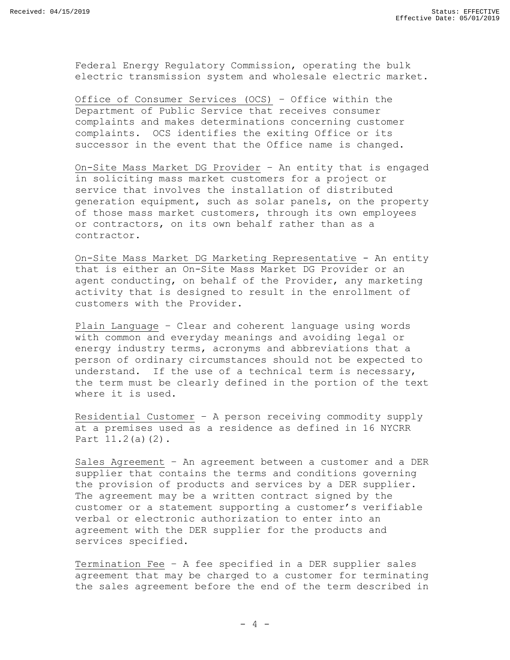Federal Energy Regulatory Commission, operating the bulk electric transmission system and wholesale electric market.

Office of Consumer Services (OCS) – Office within the Department of Public Service that receives consumer complaints and makes determinations concerning customer complaints. OCS identifies the exiting Office or its successor in the event that the Office name is changed.

On-Site Mass Market DG Provider – An entity that is engaged in soliciting mass market customers for a project or service that involves the installation of distributed generation equipment, such as solar panels, on the property of those mass market customers, through its own employees or contractors, on its own behalf rather than as a contractor.

On-Site Mass Market DG Marketing Representative - An entity that is either an On-Site Mass Market DG Provider or an agent conducting, on behalf of the Provider, any marketing activity that is designed to result in the enrollment of customers with the Provider.

Plain Language – Clear and coherent language using words with common and everyday meanings and avoiding legal or energy industry terms, acronyms and abbreviations that a person of ordinary circumstances should not be expected to understand. If the use of a technical term is necessary, the term must be clearly defined in the portion of the text where it is used.

Residential Customer – A person receiving commodity supply at a premises used as a residence as defined in 16 NYCRR Part 11.2(a)(2).

Sales Agreement – An agreement between a customer and a DER supplier that contains the terms and conditions governing the provision of products and services by a DER supplier. The agreement may be a written contract signed by the customer or a statement supporting a customer's verifiable verbal or electronic authorization to enter into an agreement with the DER supplier for the products and services specified.

Termination Fee – A fee specified in a DER supplier sales agreement that may be charged to a customer for terminating the sales agreement before the end of the term described in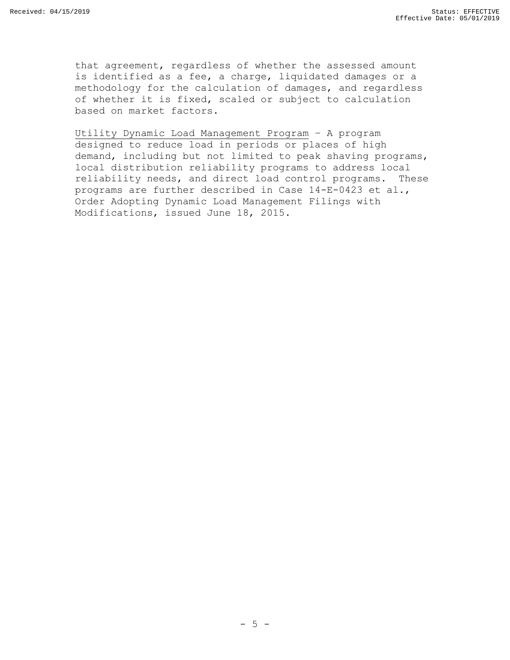that agreement, regardless of whether the assessed amount is identified as a fee, a charge, liquidated damages or a methodology for the calculation of damages, and regardless of whether it is fixed, scaled or subject to calculation based on market factors.

Utility Dynamic Load Management Program – A program designed to reduce load in periods or places of high demand, including but not limited to peak shaving programs, local distribution reliability programs to address local reliability needs, and direct load control programs. These programs are further described in Case 14-E-0423 et al., Order Adopting Dynamic Load Management Filings with Modifications, issued June 18, 2015.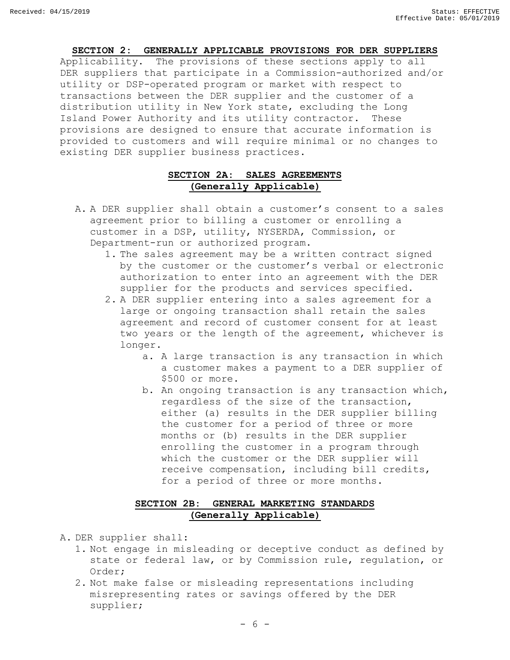#### **SECTION 2: GENERALLY APPLICABLE PROVISIONS FOR DER SUPPLIERS**

<span id="page-7-0"></span>Applicability. The provisions of these sections apply to all DER suppliers that participate in a Commission-authorized and/or utility or DSP-operated program or market with respect to transactions between the DER supplier and the customer of a distribution utility in New York state, excluding the Long Island Power Authority and its utility contractor. These provisions are designed to ensure that accurate information is provided to customers and will require minimal or no changes to existing DER supplier business practices.

# **SECTION 2A: SALES AGREEMENTS (Generally Applicable)**

- <span id="page-7-1"></span>A. A DER supplier shall obtain a customer's consent to a sales agreement prior to billing a customer or enrolling a customer in a DSP, utility, NYSERDA, Commission, or Department-run or authorized program.
	- 1. The sales agreement may be a written contract signed by the customer or the customer's verbal or electronic authorization to enter into an agreement with the DER supplier for the products and services specified.
	- 2. A DER supplier entering into a sales agreement for a large or ongoing transaction shall retain the sales agreement and record of customer consent for at least two years or the length of the agreement, whichever is longer.
		- a. A large transaction is any transaction in which a customer makes a payment to a DER supplier of \$500 or more.
		- b. An ongoing transaction is any transaction which, regardless of the size of the transaction, either (a) results in the DER supplier billing the customer for a period of three or more months or (b) results in the DER supplier enrolling the customer in a program through which the customer or the DER supplier will receive compensation, including bill credits, for a period of three or more months.

# **SECTION 2B: GENERAL MARKETING STANDARDS (Generally Applicable)**

- <span id="page-7-2"></span>A. DER supplier shall:
	- 1. Not engage in misleading or deceptive conduct as defined by state or federal law, or by Commission rule, regulation, or Order;
	- 2. Not make false or misleading representations including misrepresenting rates or savings offered by the DER supplier;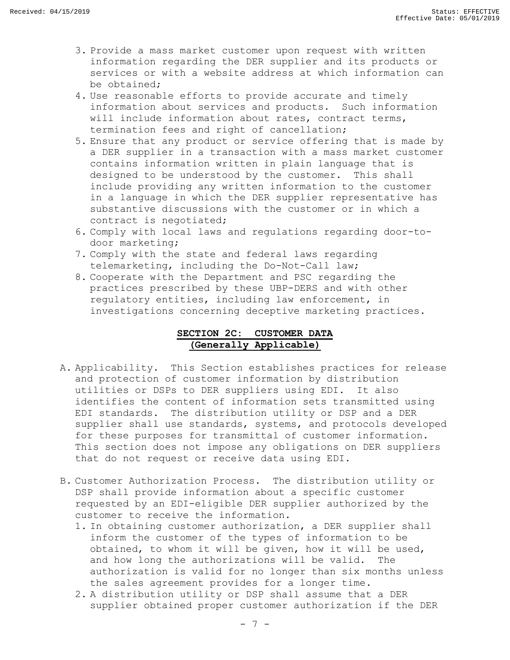- 3. Provide a mass market customer upon request with written information regarding the DER supplier and its products or services or with a website address at which information can be obtained;
- 4. Use reasonable efforts to provide accurate and timely information about services and products. Such information will include information about rates, contract terms, termination fees and right of cancellation;
- 5. Ensure that any product or service offering that is made by a DER supplier in a transaction with a mass market customer contains information written in plain language that is designed to be understood by the customer. This shall include providing any written information to the customer in a language in which the DER supplier representative has substantive discussions with the customer or in which a contract is negotiated;
- 6. Comply with local laws and regulations regarding door-todoor marketing;
- 7. Comply with the state and federal laws regarding telemarketing, including the Do-Not-Call law;
- 8. Cooperate with the Department and PSC regarding the practices prescribed by these UBP-DERS and with other regulatory entities, including law enforcement, in investigations concerning deceptive marketing practices.

# **SECTION 2C: CUSTOMER DATA (Generally Applicable)**

- <span id="page-8-0"></span>A. Applicability. This Section establishes practices for release and protection of customer information by distribution utilities or DSPs to DER suppliers using EDI. It also identifies the content of information sets transmitted using EDI standards. The distribution utility or DSP and a DER supplier shall use standards, systems, and protocols developed for these purposes for transmittal of customer information. This section does not impose any obligations on DER suppliers that do not request or receive data using EDI.
- B. Customer Authorization Process. The distribution utility or DSP shall provide information about a specific customer requested by an EDI-eligible DER supplier authorized by the customer to receive the information.
	- 1. In obtaining customer authorization, a DER supplier shall inform the customer of the types of information to be obtained, to whom it will be given, how it will be used, and how long the authorizations will be valid. The authorization is valid for no longer than six months unless the sales agreement provides for a longer time.
	- 2. A distribution utility or DSP shall assume that a DER supplier obtained proper customer authorization if the DER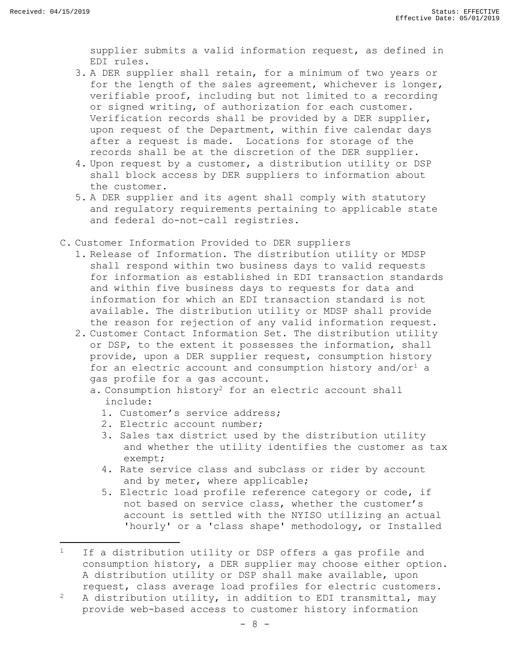$\overline{a}$ 

supplier submits a valid information request, as defined in EDI rules.

- 3. A DER supplier shall retain, for a minimum of two years or for the length of the sales agreement, whichever is longer, verifiable proof, including but not limited to a recording or signed writing, of authorization for each customer. Verification records shall be provided by a DER supplier, upon request of the Department, within five calendar days after a request is made. Locations for storage of the records shall be at the discretion of the DER supplier.
- 4. Upon request by a customer, a distribution utility or DSP shall block access by DER suppliers to information about the customer.
- 5. A DER supplier and its agent shall comply with statutory and regulatory requirements pertaining to applicable state and federal do-not-call registries.
- C. Customer Information Provided to DER suppliers
	- 1. Release of Information. The distribution utility or MDSP shall respond within two business days to valid requests for information as established in EDI transaction standards and within five business days to requests for data and information for which an EDI transaction standard is not available. The distribution utility or MDSP shall provide the reason for rejection of any valid information request.
	- 2. Customer Contact Information Set. The distribution utility or DSP, to the extent it possesses the information, shall provide, upon a DER supplier request, consumption history for an electric account and consumption history and/or<sup>1</sup> a gas profile for a gas account.
		- a. Consumption history<sup>2</sup> for an electric account shall include:
			- 1. Customer's service address;
			- 2. Electric account number;
			- 3. Sales tax district used by the distribution utility and whether the utility identifies the customer as tax exempt;
			- 4. Rate service class and subclass or rider by account and by meter, where applicable;
			- 5. Electric load profile reference category or code, if not based on service class, whether the customer's account is settled with the NYISO utilizing an actual 'hourly' or a 'class shape' methodology, or Installed

 $1$  If a distribution utility or DSP offers a gas profile and consumption history, a DER supplier may choose either option. A distribution utility or DSP shall make available, upon request, class average load profiles for electric customers.

<sup>&</sup>lt;sup>2</sup> A distribution utility, in addition to EDI transmittal, may provide web-based access to customer history information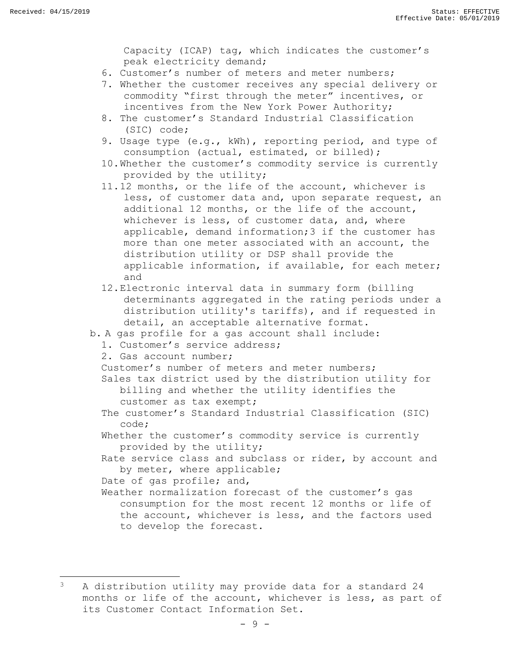$\overline{\phantom{a}}$ 

Capacity (ICAP) tag, which indicates the customer's peak electricity demand;

- 6. Customer's number of meters and meter numbers;
- 7. Whether the customer receives any special delivery or commodity "first through the meter" incentives, or incentives from the New York Power Authority;
- 8. The customer's Standard Industrial Classification (SIC) code;
- 9. Usage type (e.g., kWh), reporting period, and type of consumption (actual, estimated, or billed);
- 10.Whether the customer's commodity service is currently provided by the utility;
- 11.12 months, or the life of the account, whichever is less, of customer data and, upon separate request, an additional 12 months, or the life of the account, whichever is less, of customer data, and, where applicable, demand information;3 if the customer has more than one meter associated with an account, the distribution utility or DSP shall provide the applicable information, if available, for each meter; and
- 12.Electronic interval data in summary form (billing determinants aggregated in the rating periods under a distribution utility's tariffs), and if requested in detail, an acceptable alternative format.
- b. A gas profile for a gas account shall include:
	- 1. Customer's service address;
	- 2. Gas account number;
	- Customer's number of meters and meter numbers;

Sales tax district used by the distribution utility for billing and whether the utility identifies the customer as tax exempt;

- The customer's Standard Industrial Classification (SIC) code;
- Whether the customer's commodity service is currently provided by the utility;

Rate service class and subclass or rider, by account and by meter, where applicable;

Date of gas profile; and,

Weather normalization forecast of the customer's gas consumption for the most recent 12 months or life of the account, whichever is less, and the factors used to develop the forecast.

<sup>&</sup>lt;sup>3</sup> A distribution utility may provide data for a standard 24 months or life of the account, whichever is less, as part of its Customer Contact Information Set.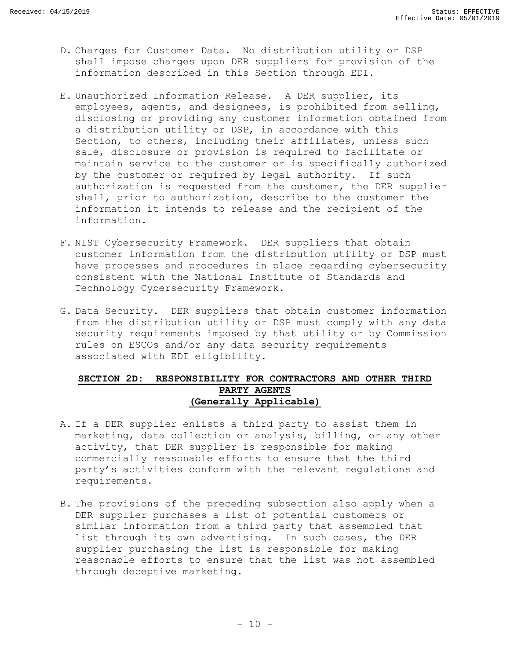- D. Charges for Customer Data. No distribution utility or DSP shall impose charges upon DER suppliers for provision of the information described in this Section through EDI.
- E. Unauthorized Information Release. A DER supplier, its employees, agents, and designees, is prohibited from selling, disclosing or providing any customer information obtained from a distribution utility or DSP, in accordance with this Section, to others, including their affiliates, unless such sale, disclosure or provision is required to facilitate or maintain service to the customer or is specifically authorized by the customer or required by legal authority. If such authorization is requested from the customer, the DER supplier shall, prior to authorization, describe to the customer the information it intends to release and the recipient of the information.
- F. NIST Cybersecurity Framework. DER suppliers that obtain customer information from the distribution utility or DSP must have processes and procedures in place regarding cybersecurity consistent with the National Institute of Standards and Technology Cybersecurity Framework.
- G. Data Security. DER suppliers that obtain customer information from the distribution utility or DSP must comply with any data security requirements imposed by that utility or by Commission rules on ESCOs and/or any data security requirements associated with EDI eligibility.

### <span id="page-11-0"></span>**SECTION 2D: RESPONSIBILITY FOR CONTRACTORS AND OTHER THIRD PARTY AGENTS (Generally Applicable)**

- A. If a DER supplier enlists a third party to assist them in marketing, data collection or analysis, billing, or any other activity, that DER supplier is responsible for making commercially reasonable efforts to ensure that the third party's activities conform with the relevant regulations and requirements.
- B. The provisions of the preceding subsection also apply when a DER supplier purchases a list of potential customers or similar information from a third party that assembled that list through its own advertising. In such cases, the DER supplier purchasing the list is responsible for making reasonable efforts to ensure that the list was not assembled through deceptive marketing.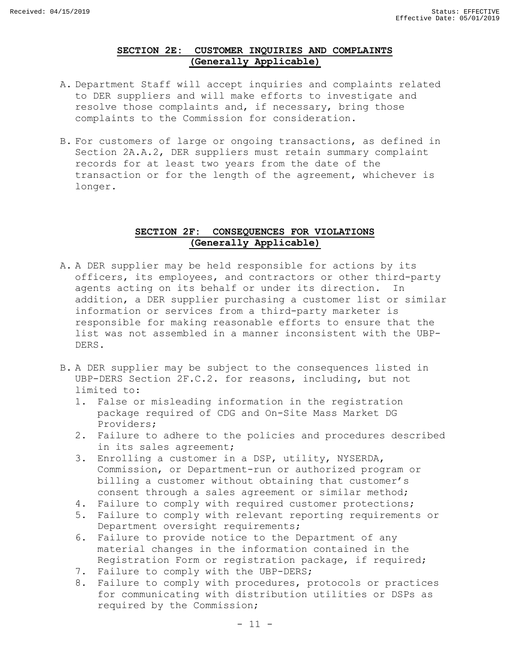# **SECTION 2E: CUSTOMER INQUIRIES AND COMPLAINTS (Generally Applicable)**

- <span id="page-12-0"></span>A. Department Staff will accept inquiries and complaints related to DER suppliers and will make efforts to investigate and resolve those complaints and, if necessary, bring those complaints to the Commission for consideration.
- B. For customers of large or ongoing transactions, as defined in Section 2A.A.2, DER suppliers must retain summary complaint records for at least two years from the date of the transaction or for the length of the agreement, whichever is longer.

### **SECTION 2F: CONSEQUENCES FOR VIOLATIONS (Generally Applicable)**

- <span id="page-12-1"></span>A. A DER supplier may be held responsible for actions by its officers, its employees, and contractors or other third-party agents acting on its behalf or under its direction. In addition, a DER supplier purchasing a customer list or similar information or services from a third-party marketer is responsible for making reasonable efforts to ensure that the list was not assembled in a manner inconsistent with the UBP-DERS.
- B. A DER supplier may be subject to the consequences listed in UBP-DERS Section 2F.C.2. for reasons, including, but not limited to:
	- 1. False or misleading information in the registration package required of CDG and On-Site Mass Market DG Providers;
	- 2. Failure to adhere to the policies and procedures described in its sales agreement;
	- 3. Enrolling a customer in a DSP, utility, NYSERDA, Commission, or Department-run or authorized program or billing a customer without obtaining that customer's consent through a sales agreement or similar method;
	- 4. Failure to comply with required customer protections;
	- 5. Failure to comply with relevant reporting requirements or Department oversight requirements;
	- 6. Failure to provide notice to the Department of any material changes in the information contained in the Registration Form or registration package, if required;
	- 7. Failure to comply with the UBP-DERS;
	- 8. Failure to comply with procedures, protocols or practices for communicating with distribution utilities or DSPs as required by the Commission;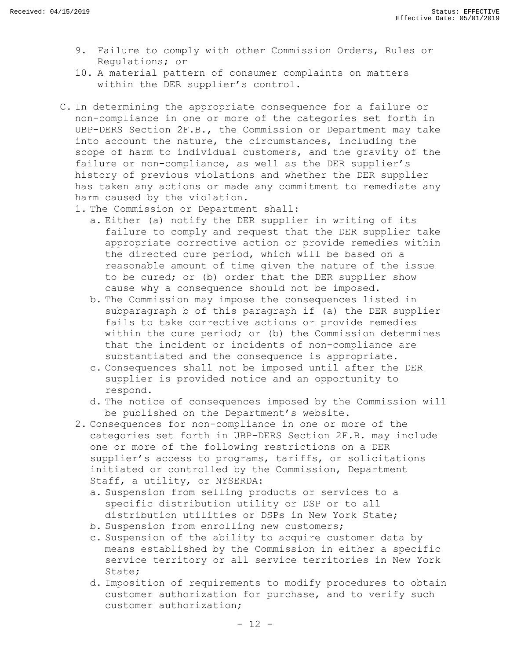- 9. Failure to comply with other Commission Orders, Rules or Regulations; or
- 10. A material pattern of consumer complaints on matters within the DER supplier's control.
- C. In determining the appropriate consequence for a failure or non-compliance in one or more of the categories set forth in UBP-DERS Section 2F.B., the Commission or Department may take into account the nature, the circumstances, including the scope of harm to individual customers, and the gravity of the failure or non-compliance, as well as the DER supplier's history of previous violations and whether the DER supplier has taken any actions or made any commitment to remediate any harm caused by the violation.
	- 1. The Commission or Department shall:
		- a. Either (a) notify the DER supplier in writing of its failure to comply and request that the DER supplier take appropriate corrective action or provide remedies within the directed cure period, which will be based on a reasonable amount of time given the nature of the issue to be cured; or (b) order that the DER supplier show cause why a consequence should not be imposed.
		- b. The Commission may impose the consequences listed in subparagraph b of this paragraph if (a) the DER supplier fails to take corrective actions or provide remedies within the cure period; or (b) the Commission determines that the incident or incidents of non-compliance are substantiated and the consequence is appropriate.
		- c. Consequences shall not be imposed until after the DER supplier is provided notice and an opportunity to respond.
		- d. The notice of consequences imposed by the Commission will be published on the Department's website.
	- 2. Consequences for non-compliance in one or more of the categories set forth in UBP-DERS Section 2F.B. may include one or more of the following restrictions on a DER supplier's access to programs, tariffs, or solicitations initiated or controlled by the Commission, Department Staff, a utility, or NYSERDA:
		- a. Suspension from selling products or services to a specific distribution utility or DSP or to all distribution utilities or DSPs in New York State;
		- b. Suspension from enrolling new customers;
		- c. Suspension of the ability to acquire customer data by means established by the Commission in either a specific service territory or all service territories in New York State;
		- d. Imposition of requirements to modify procedures to obtain customer authorization for purchase, and to verify such customer authorization;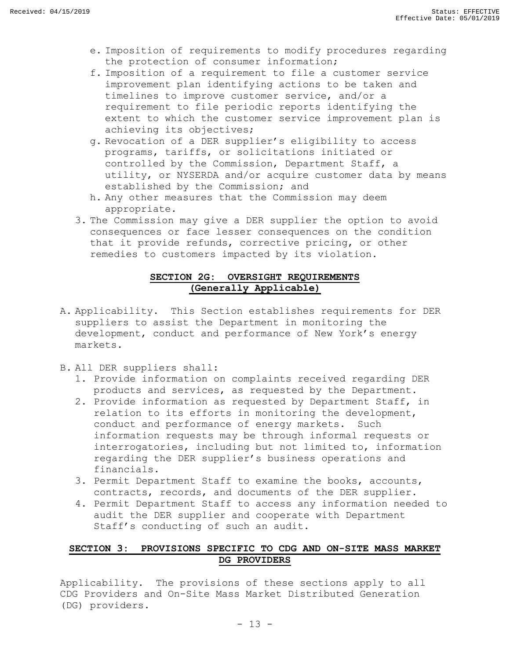- e. Imposition of requirements to modify procedures regarding the protection of consumer information;
- f. Imposition of a requirement to file a customer service improvement plan identifying actions to be taken and timelines to improve customer service, and/or a requirement to file periodic reports identifying the extent to which the customer service improvement plan is achieving its objectives;
- g. Revocation of a DER supplier's eligibility to access programs, tariffs, or solicitations initiated or controlled by the Commission, Department Staff, a utility, or NYSERDA and/or acquire customer data by means established by the Commission; and
- h. Any other measures that the Commission may deem appropriate.
- 3. The Commission may give a DER supplier the option to avoid consequences or face lesser consequences on the condition that it provide refunds, corrective pricing, or other remedies to customers impacted by its violation.

# **SECTION 2G: OVERSIGHT REQUIREMENTS (Generally Applicable)**

- <span id="page-14-0"></span>A. Applicability. This Section establishes requirements for DER suppliers to assist the Department in monitoring the development, conduct and performance of New York's energy markets.
- B. All DER suppliers shall:
	- 1. Provide information on complaints received regarding DER products and services, as requested by the Department.
	- 2. Provide information as requested by Department Staff, in relation to its efforts in monitoring the development, conduct and performance of energy markets. Such information requests may be through informal requests or interrogatories, including but not limited to, information regarding the DER supplier's business operations and financials.
	- 3. Permit Department Staff to examine the books, accounts, contracts, records, and documents of the DER supplier.
	- 4. Permit Department Staff to access any information needed to audit the DER supplier and cooperate with Department Staff's conducting of such an audit.

# <span id="page-14-1"></span>**SECTION 3: PROVISIONS SPECIFIC TO CDG AND ON-SITE MASS MARKET DG PROVIDERS**

Applicability. The provisions of these sections apply to all CDG Providers and On-Site Mass Market Distributed Generation (DG) providers.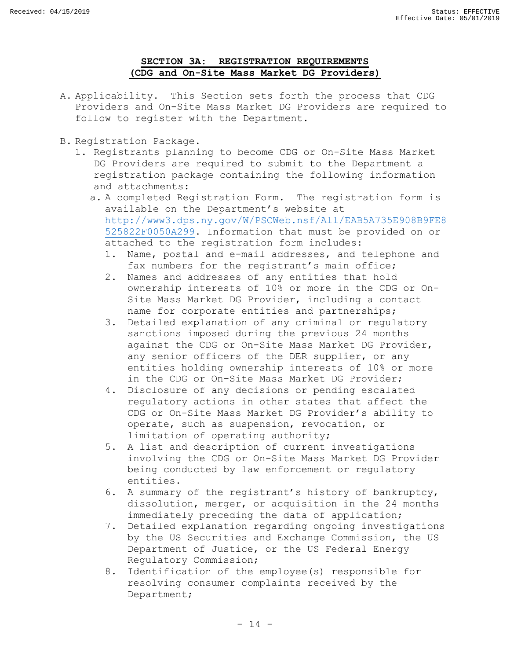# **SECTION 3A: REGISTRATION REQUIREMENTS (CDG and On-Site Mass Market DG Providers)**

- <span id="page-15-0"></span>A. Applicability. This Section sets forth the process that CDG Providers and On-Site Mass Market DG Providers are required to follow to register with the Department.
- B. Registration Package.
	- 1. Registrants planning to become CDG or On-Site Mass Market DG Providers are required to submit to the Department a registration package containing the following information and attachments:
		- a. A completed Registration Form. The registration form is available on the Department's website at [http://www3.dps.ny.gov/W/PSCWeb.nsf/All/EAB5A735E908B9FE8](http://www3.dps.ny.gov/W/PSCWeb.nsf/All/EAB5A735E908B9FE8525822F0050A299) [525822F0050A299.](http://www3.dps.ny.gov/W/PSCWeb.nsf/All/EAB5A735E908B9FE8525822F0050A299) Information that must be provided on or attached to the registration form includes:
			- 1. Name, postal and e-mail addresses, and telephone and fax numbers for the registrant's main office;
			- 2. Names and addresses of any entities that hold ownership interests of 10% or more in the CDG or On-Site Mass Market DG Provider, including a contact name for corporate entities and partnerships;
			- 3. Detailed explanation of any criminal or regulatory sanctions imposed during the previous 24 months against the CDG or On-Site Mass Market DG Provider, any senior officers of the DER supplier, or any entities holding ownership interests of 10% or more in the CDG or On-Site Mass Market DG Provider;
			- 4. Disclosure of any decisions or pending escalated regulatory actions in other states that affect the CDG or On-Site Mass Market DG Provider's ability to operate, such as suspension, revocation, or limitation of operating authority;
			- 5. A list and description of current investigations involving the CDG or On-Site Mass Market DG Provider being conducted by law enforcement or regulatory entities.
			- 6. A summary of the registrant's history of bankruptcy, dissolution, merger, or acquisition in the 24 months immediately preceding the data of application;
			- 7. Detailed explanation regarding ongoing investigations by the US Securities and Exchange Commission, the US Department of Justice, or the US Federal Energy Regulatory Commission;
			- 8. Identification of the employee(s) responsible for resolving consumer complaints received by the Department;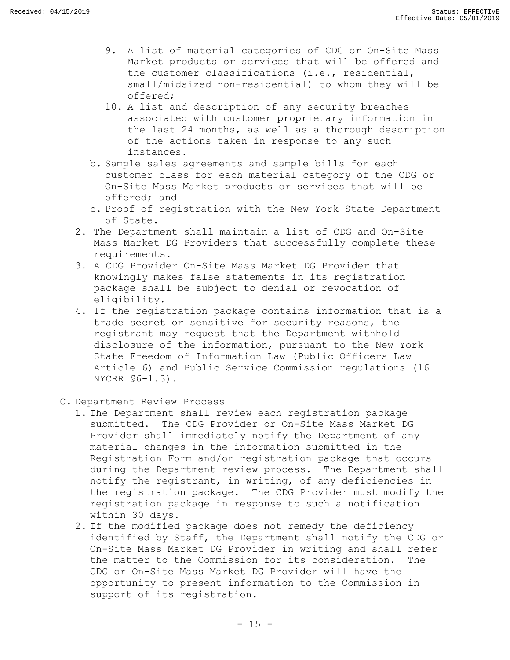- 9. A list of material categories of CDG or On-Site Mass Market products or services that will be offered and the customer classifications (i.e., residential, small/midsized non-residential) to whom they will be offered;
- 10. A list and description of any security breaches associated with customer proprietary information in the last 24 months, as well as a thorough description of the actions taken in response to any such instances.
- b. Sample sales agreements and sample bills for each customer class for each material category of the CDG or On-Site Mass Market products or services that will be offered; and
- c. Proof of registration with the New York State Department of State.
- 2. The Department shall maintain a list of CDG and On-Site Mass Market DG Providers that successfully complete these requirements.
- 3. A CDG Provider On-Site Mass Market DG Provider that knowingly makes false statements in its registration package shall be subject to denial or revocation of eligibility.
- 4. If the registration package contains information that is a trade secret or sensitive for security reasons, the registrant may request that the Department withhold disclosure of the information, pursuant to the New York State Freedom of Information Law (Public Officers Law Article 6) and Public Service Commission regulations (16 NYCRR §6-1.3).
- C. Department Review Process
	- 1. The Department shall review each registration package submitted. The CDG Provider or On-Site Mass Market DG Provider shall immediately notify the Department of any material changes in the information submitted in the Registration Form and/or registration package that occurs during the Department review process. The Department shall notify the registrant, in writing, of any deficiencies in the registration package. The CDG Provider must modify the registration package in response to such a notification within 30 days.
	- 2. If the modified package does not remedy the deficiency identified by Staff, the Department shall notify the CDG or On-Site Mass Market DG Provider in writing and shall refer the matter to the Commission for its consideration. The CDG or On-Site Mass Market DG Provider will have the opportunity to present information to the Commission in support of its registration.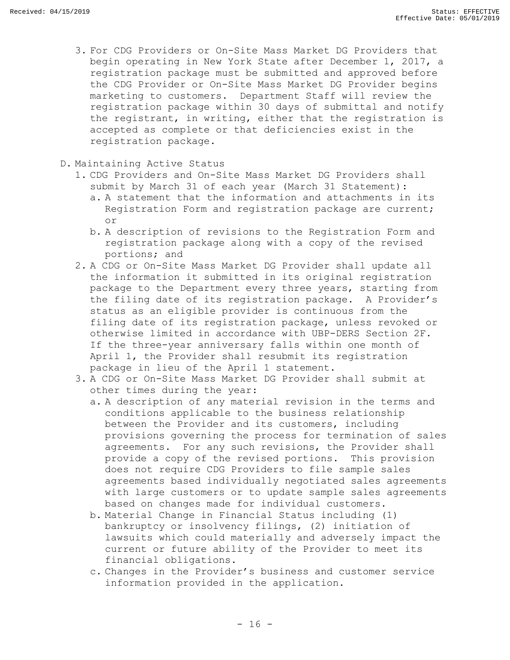- 3. For CDG Providers or On-Site Mass Market DG Providers that begin operating in New York State after December 1, 2017, a registration package must be submitted and approved before the CDG Provider or On-Site Mass Market DG Provider begins marketing to customers. Department Staff will review the registration package within 30 days of submittal and notify the registrant, in writing, either that the registration is accepted as complete or that deficiencies exist in the registration package.
- D. Maintaining Active Status
	- 1. CDG Providers and On-Site Mass Market DG Providers shall submit by March 31 of each year (March 31 Statement):
		- a. A statement that the information and attachments in its Registration Form and registration package are current; or
		- b. A description of revisions to the Registration Form and registration package along with a copy of the revised portions; and
	- 2. A CDG or On-Site Mass Market DG Provider shall update all the information it submitted in its original registration package to the Department every three years, starting from the filing date of its registration package. A Provider's status as an eligible provider is continuous from the filing date of its registration package, unless revoked or otherwise limited in accordance with UBP-DERS Section 2F. If the three-year anniversary falls within one month of April 1, the Provider shall resubmit its registration package in lieu of the April 1 statement.
	- 3. A CDG or On-Site Mass Market DG Provider shall submit at other times during the year:
		- a. A description of any material revision in the terms and conditions applicable to the business relationship between the Provider and its customers, including provisions governing the process for termination of sales agreements. For any such revisions, the Provider shall provide a copy of the revised portions. This provision does not require CDG Providers to file sample sales agreements based individually negotiated sales agreements with large customers or to update sample sales agreements based on changes made for individual customers.
		- b. Material Change in Financial Status including (1) bankruptcy or insolvency filings, (2) initiation of lawsuits which could materially and adversely impact the current or future ability of the Provider to meet its financial obligations.
		- c. Changes in the Provider's business and customer service information provided in the application.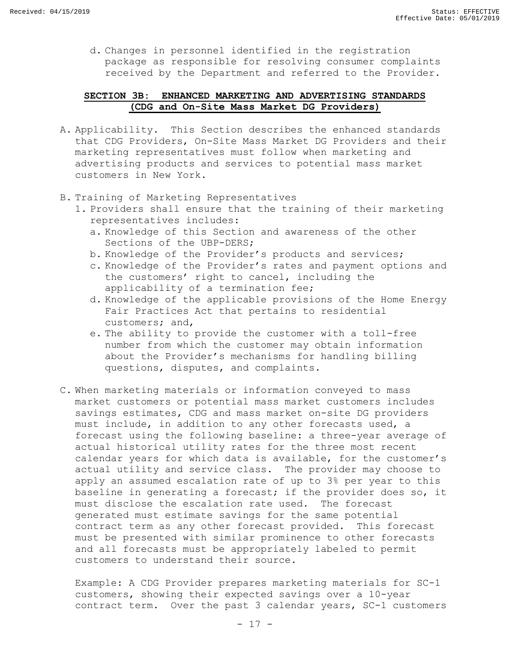d. Changes in personnel identified in the registration package as responsible for resolving consumer complaints received by the Department and referred to the Provider.

# <span id="page-18-0"></span>**SECTION 3B: ENHANCED MARKETING AND ADVERTISING STANDARDS (CDG and On-Site Mass Market DG Providers)**

- A. Applicability. This Section describes the enhanced standards that CDG Providers, On-Site Mass Market DG Providers and their marketing representatives must follow when marketing and advertising products and services to potential mass market customers in New York.
- B. Training of Marketing Representatives
	- 1. Providers shall ensure that the training of their marketing representatives includes:
		- a. Knowledge of this Section and awareness of the other Sections of the UBP-DERS;
		- b. Knowledge of the Provider's products and services;
		- c. Knowledge of the Provider's rates and payment options and the customers' right to cancel, including the applicability of a termination fee;
		- d. Knowledge of the applicable provisions of the Home Energy Fair Practices Act that pertains to residential customers; and,
		- e. The ability to provide the customer with a toll-free number from which the customer may obtain information about the Provider's mechanisms for handling billing questions, disputes, and complaints.
- C. When marketing materials or information conveyed to mass market customers or potential mass market customers includes savings estimates, CDG and mass market on-site DG providers must include, in addition to any other forecasts used, a forecast using the following baseline: a three-year average of actual historical utility rates for the three most recent calendar years for which data is available, for the customer's actual utility and service class. The provider may choose to apply an assumed escalation rate of up to 3% per year to this baseline in generating a forecast; if the provider does so, it must disclose the escalation rate used. The forecast generated must estimate savings for the same potential contract term as any other forecast provided. This forecast must be presented with similar prominence to other forecasts and all forecasts must be appropriately labeled to permit customers to understand their source.

Example: A CDG Provider prepares marketing materials for SC-1 customers, showing their expected savings over a 10-year contract term. Over the past 3 calendar years, SC-1 customers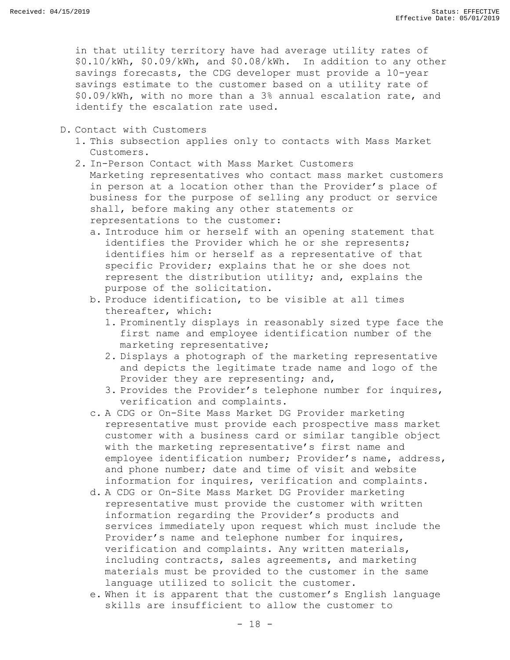in that utility territory have had average utility rates of \$0.10/kWh, \$0.09/kWh, and \$0.08/kWh. In addition to any other savings forecasts, the CDG developer must provide a 10-year savings estimate to the customer based on a utility rate of \$0.09/kWh, with no more than a 3% annual escalation rate, and identify the escalation rate used.

- D. Contact with Customers
	- 1. This subsection applies only to contacts with Mass Market Customers.
	- 2. In-Person Contact with Mass Market Customers Marketing representatives who contact mass market customers in person at a location other than the Provider's place of business for the purpose of selling any product or service shall, before making any other statements or representations to the customer:
		- a. Introduce him or herself with an opening statement that identifies the Provider which he or she represents; identifies him or herself as a representative of that specific Provider; explains that he or she does not represent the distribution utility; and, explains the purpose of the solicitation.
		- b. Produce identification, to be visible at all times thereafter, which:
			- 1. Prominently displays in reasonably sized type face the first name and employee identification number of the marketing representative;
			- 2. Displays a photograph of the marketing representative and depicts the legitimate trade name and logo of the Provider they are representing; and,
			- 3. Provides the Provider's telephone number for inquires, verification and complaints.
		- c. A CDG or On-Site Mass Market DG Provider marketing representative must provide each prospective mass market customer with a business card or similar tangible object with the marketing representative's first name and employee identification number; Provider's name, address, and phone number; date and time of visit and website information for inquires, verification and complaints.
		- d. A CDG or On-Site Mass Market DG Provider marketing representative must provide the customer with written information regarding the Provider's products and services immediately upon request which must include the Provider's name and telephone number for inquires, verification and complaints. Any written materials, including contracts, sales agreements, and marketing materials must be provided to the customer in the same language utilized to solicit the customer.
		- e. When it is apparent that the customer's English language skills are insufficient to allow the customer to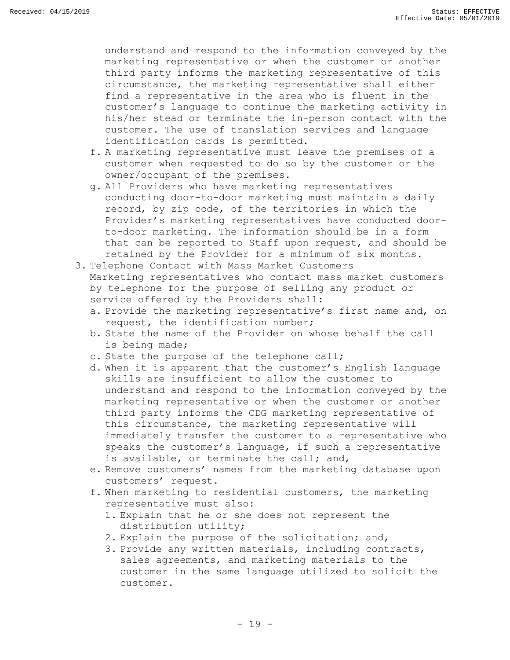understand and respond to the information conveyed by the marketing representative or when the customer or another third party informs the marketing representative of this circumstance, the marketing representative shall either find a representative in the area who is fluent in the customer's language to continue the marketing activity in his/her stead or terminate the in-person contact with the customer. The use of translation services and language identification cards is permitted.

- f. A marketing representative must leave the premises of a customer when requested to do so by the customer or the owner/occupant of the premises.
- g. All Providers who have marketing representatives conducting door-to-door marketing must maintain a daily record, by zip code, of the territories in which the Provider's marketing representatives have conducted doorto-door marketing. The information should be in a form that can be reported to Staff upon request, and should be retained by the Provider for a minimum of six months.
- 3. Telephone Contact with Mass Market Customers Marketing representatives who contact mass market customers by telephone for the purpose of selling any product or service offered by the Providers shall:
	- a. Provide the marketing representative's first name and, on request, the identification number;
	- b. State the name of the Provider on whose behalf the call is being made;
	- c. State the purpose of the telephone call;
	- d. When it is apparent that the customer's English language skills are insufficient to allow the customer to understand and respond to the information conveyed by the marketing representative or when the customer or another third party informs the CDG marketing representative of this circumstance, the marketing representative will immediately transfer the customer to a representative who speaks the customer's language, if such a representative is available, or terminate the call; and,
	- e. Remove customers' names from the marketing database upon customers' request.
	- f. When marketing to residential customers, the marketing representative must also:
		- 1. Explain that he or she does not represent the distribution utility;
		- 2. Explain the purpose of the solicitation; and,
		- 3. Provide any written materials, including contracts, sales agreements, and marketing materials to the customer in the same language utilized to solicit the customer.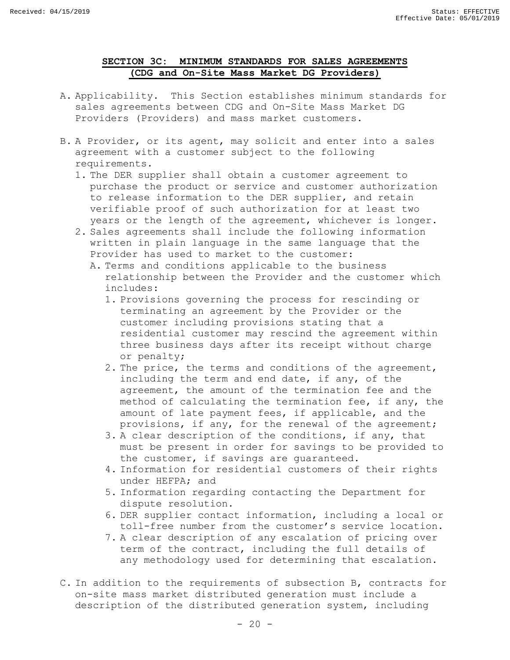# **SECTION 3C: MINIMUM STANDARDS FOR SALES AGREEMENTS (CDG and On-Site Mass Market DG Providers)**

- <span id="page-21-0"></span>A. Applicability. This Section establishes minimum standards for sales agreements between CDG and On-Site Mass Market DG Providers (Providers) and mass market customers.
- B. A Provider, or its agent, may solicit and enter into a sales agreement with a customer subject to the following requirements.
	- 1. The DER supplier shall obtain a customer agreement to purchase the product or service and customer authorization to release information to the DER supplier, and retain verifiable proof of such authorization for at least two years or the length of the agreement, whichever is longer.
	- 2. Sales agreements shall include the following information written in plain language in the same language that the Provider has used to market to the customer:
		- A. Terms and conditions applicable to the business relationship between the Provider and the customer which includes:
			- 1. Provisions governing the process for rescinding or terminating an agreement by the Provider or the customer including provisions stating that a residential customer may rescind the agreement within three business days after its receipt without charge or penalty;
			- 2. The price, the terms and conditions of the agreement, including the term and end date, if any, of the agreement, the amount of the termination fee and the method of calculating the termination fee, if any, the amount of late payment fees, if applicable, and the provisions, if any, for the renewal of the agreement;
			- 3. A clear description of the conditions, if any, that must be present in order for savings to be provided to the customer, if savings are guaranteed.
			- 4. Information for residential customers of their rights under HEFPA; and
			- 5. Information regarding contacting the Department for dispute resolution.
			- 6. DER supplier contact information, including a local or toll-free number from the customer's service location.
			- 7. A clear description of any escalation of pricing over term of the contract, including the full details of any methodology used for determining that escalation.
- C. In addition to the requirements of subsection B, contracts for on-site mass market distributed generation must include a description of the distributed generation system, including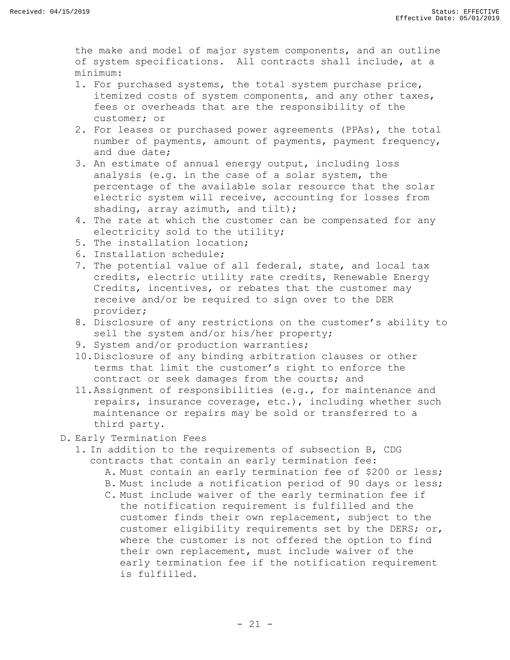the make and model of major system components, and an outline of system specifications. All contracts shall include, at a minimum:

- 1. For purchased systems, the total system purchase price, itemized costs of system components, and any other taxes, fees or overheads that are the responsibility of the customer; or
- 2. For leases or purchased power agreements (PPAs), the total number of payments, amount of payments, payment frequency, and due date;
- 3. An estimate of annual energy output, including loss analysis (e.g. in the case of a solar system, the percentage of the available solar resource that the solar electric system will receive, accounting for losses from shading, array azimuth, and tilt);
- 4. The rate at which the customer can be compensated for any electricity sold to the utility;
- 5. The installation location;
- 6. Installation schedule;
- 7. The potential value of all federal, state, and local tax credits, electric utility rate credits, Renewable Energy Credits, incentives, or rebates that the customer may receive and/or be required to sign over to the DER provider;
- 8. Disclosure of any restrictions on the customer's ability to sell the system and/or his/her property;
- 9. System and/or production warranties;
- 10.Disclosure of any binding arbitration clauses or other terms that limit the customer's right to enforce the contract or seek damages from the courts; and
- 11.Assignment of responsibilities (e.g., for maintenance and repairs, insurance coverage, etc.), including whether such maintenance or repairs may be sold or transferred to a third party.
- D. Early Termination Fees
	- 1. In addition to the requirements of subsection B, CDG contracts that contain an early termination fee:
		- A. Must contain an early termination fee of \$200 or less;
		- B. Must include a notification period of 90 days or less;
		- C. Must include waiver of the early termination fee if the notification requirement is fulfilled and the customer finds their own replacement, subject to the customer eligibility requirements set by the DERS; or, where the customer is not offered the option to find their own replacement, must include waiver of the early termination fee if the notification requirement is fulfilled.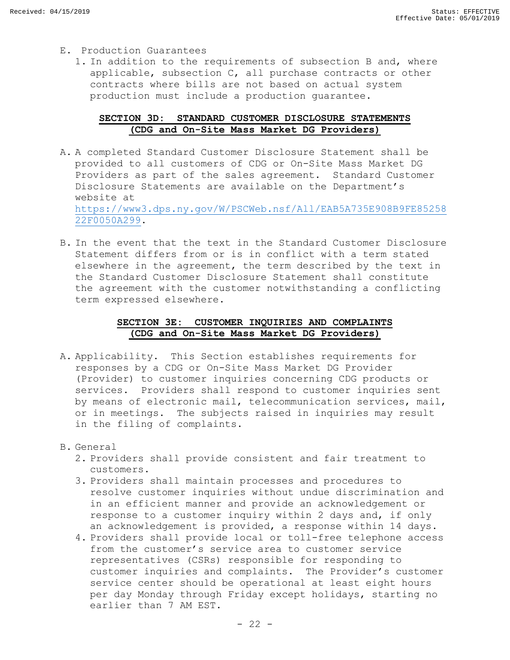- E. Production Guarantees
	- 1. In addition to the requirements of subsection B and, where applicable, subsection C, all purchase contracts or other contracts where bills are not based on actual system production must include a production guarantee.

# **SECTION 3D: STANDARD CUSTOMER DISCLOSURE STATEMENTS (CDG and On-Site Mass Market DG Providers)**

- <span id="page-23-0"></span>A. A completed Standard Customer Disclosure Statement shall be provided to all customers of CDG or On-Site Mass Market DG Providers as part of the sales agreement. Standard Customer Disclosure Statements are available on the Department's website at [https://www3.dps.ny.gov/W/PSCWeb.nsf/All/EAB5A735E908B9FE85258](https://www3.dps.ny.gov/W/PSCWeb.nsf/All/EAB5A735E908B9FE8525822F0050A299) [22F0050A299.](https://www3.dps.ny.gov/W/PSCWeb.nsf/All/EAB5A735E908B9FE8525822F0050A299)
- B. In the event that the text in the Standard Customer Disclosure Statement differs from or is in conflict with a term stated elsewhere in the agreement, the term described by the text in the Standard Customer Disclosure Statement shall constitute the agreement with the customer notwithstanding a conflicting term expressed elsewhere.

# **SECTION 3E: CUSTOMER INQUIRIES AND COMPLAINTS (CDG and On-Site Mass Market DG Providers)**

- <span id="page-23-1"></span>A. Applicability. This Section establishes requirements for responses by a CDG or On-Site Mass Market DG Provider (Provider) to customer inquiries concerning CDG products or services. Providers shall respond to customer inquiries sent by means of electronic mail, telecommunication services, mail, or in meetings. The subjects raised in inquiries may result in the filing of complaints.
- B. General
	- 2. Providers shall provide consistent and fair treatment to customers.
	- 3. Providers shall maintain processes and procedures to resolve customer inquiries without undue discrimination and in an efficient manner and provide an acknowledgement or response to a customer inquiry within 2 days and, if only an acknowledgement is provided, a response within 14 days.
	- 4. Providers shall provide local or toll-free telephone access from the customer's service area to customer service representatives (CSRs) responsible for responding to customer inquiries and complaints. The Provider's customer service center should be operational at least eight hours per day Monday through Friday except holidays, starting no earlier than 7 AM EST.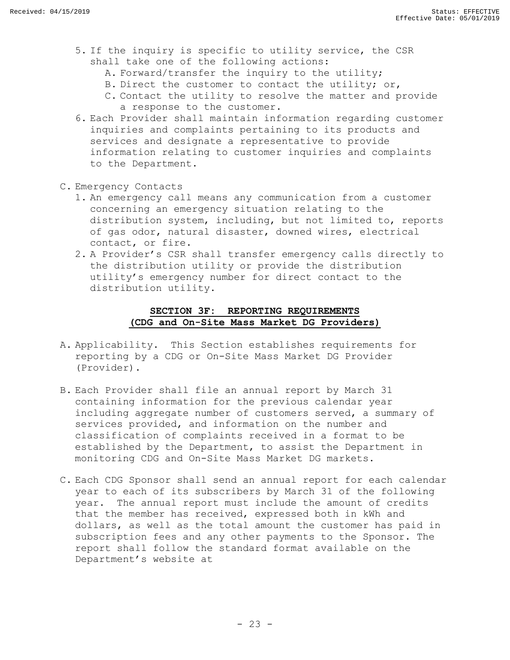- 5. If the inquiry is specific to utility service, the CSR shall take one of the following actions:
	- A. Forward/transfer the inquiry to the utility;
	- B. Direct the customer to contact the utility; or,
	- C. Contact the utility to resolve the matter and provide a response to the customer.
- 6. Each Provider shall maintain information regarding customer inquiries and complaints pertaining to its products and services and designate a representative to provide information relating to customer inquiries and complaints to the Department.
- C. Emergency Contacts
	- 1. An emergency call means any communication from a customer concerning an emergency situation relating to the distribution system, including, but not limited to, reports of gas odor, natural disaster, downed wires, electrical contact, or fire.
	- 2. A Provider's CSR shall transfer emergency calls directly to the distribution utility or provide the distribution utility's emergency number for direct contact to the distribution utility.

# **SECTION 3F: REPORTING REQUIREMENTS (CDG and On-Site Mass Market DG Providers)**

- <span id="page-24-0"></span>A. Applicability. This Section establishes requirements for reporting by a CDG or On-Site Mass Market DG Provider (Provider).
- B. Each Provider shall file an annual report by March 31 containing information for the previous calendar year including aggregate number of customers served, a summary of services provided, and information on the number and classification of complaints received in a format to be established by the Department, to assist the Department in monitoring CDG and On-Site Mass Market DG markets.
- C. Each CDG Sponsor shall send an annual report for each calendar year to each of its subscribers by March 31 of the following year. The annual report must include the amount of credits that the member has received, expressed both in kWh and dollars, as well as the total amount the customer has paid in subscription fees and any other payments to the Sponsor. The report shall follow the standard format available on the Department's website at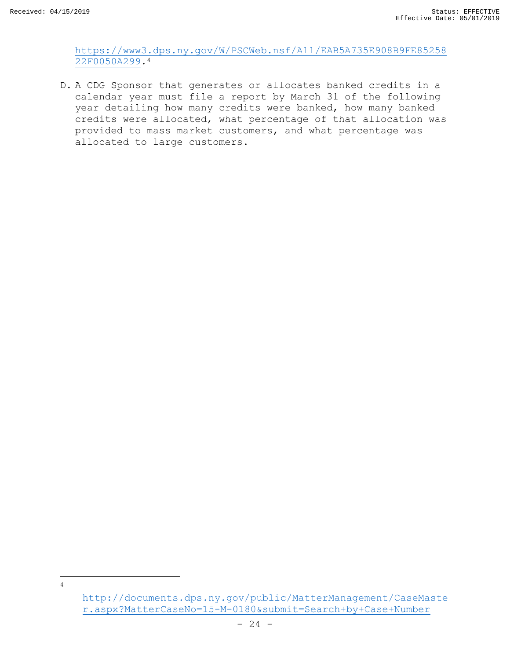$\overline{\phantom{a}}$ 4 [https://www3.dps.ny.gov/W/PSCWeb.nsf/All/EAB5A735E908B9FE85258](https://www3.dps.ny.gov/W/PSCWeb.nsf/All/EAB5A735E908B9FE8525822F0050A299) [22F0050A299.](https://www3.dps.ny.gov/W/PSCWeb.nsf/All/EAB5A735E908B9FE8525822F0050A299)<sup>4</sup>

D. A CDG Sponsor that generates or allocates banked credits in a calendar year must file a report by March 31 of the following year detailing how many credits were banked, how many banked credits were allocated, what percentage of that allocation was provided to mass market customers, and what percentage was allocated to large customers.

[http://documents.dps.ny.gov/public/MatterManagement/CaseMaste](http://documents.dps.ny.gov/public/MatterManagement/CaseMaster.aspx?MatterCaseNo=15-M-0180&submit=Search+by+Case+Number) [r.aspx?MatterCaseNo=15-M-0180&submit=Search+by+Case+Number](http://documents.dps.ny.gov/public/MatterManagement/CaseMaster.aspx?MatterCaseNo=15-M-0180&submit=Search+by+Case+Number)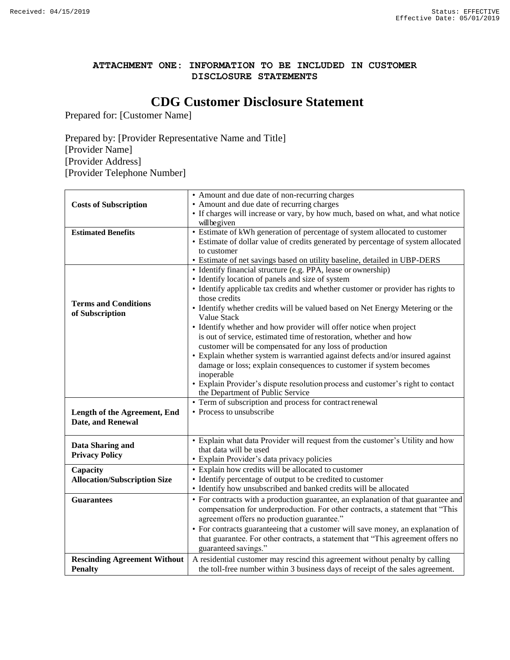# **ATTACHMENT ONE: INFORMATION TO BE INCLUDED IN CUSTOMER DISCLOSURE STATEMENTS**

# **CDG Customer Disclosure Statement**

Prepared for: [Customer Name]

Prepared by: [Provider Representative Name and Title] [Provider Name] [Provider Address] [Provider Telephone Number]

|                                     | • Amount and due date of non-recurring charges                                    |
|-------------------------------------|-----------------------------------------------------------------------------------|
| <b>Costs of Subscription</b>        | • Amount and due date of recurring charges                                        |
|                                     | • If charges will increase or vary, by how much, based on what, and what notice   |
|                                     | will be given                                                                     |
| <b>Estimated Benefits</b>           | • Estimate of kWh generation of percentage of system allocated to customer        |
|                                     | • Estimate of dollar value of credits generated by percentage of system allocated |
|                                     | to customer                                                                       |
|                                     | • Estimate of net savings based on utility baseline, detailed in UBP-DERS         |
|                                     | · Identify financial structure (e.g. PPA, lease or ownership)                     |
|                                     | • Identify location of panels and size of system                                  |
|                                     | • Identify applicable tax credits and whether customer or provider has rights to  |
| <b>Terms and Conditions</b>         | those credits                                                                     |
| of Subscription                     | • Identify whether credits will be valued based on Net Energy Metering or the     |
|                                     | Value Stack                                                                       |
|                                     | • Identify whether and how provider will offer notice when project                |
|                                     | is out of service, estimated time of restoration, whether and how                 |
|                                     | customer will be compensated for any loss of production                           |
|                                     | • Explain whether system is warrantied against defects and/or insured against     |
|                                     | damage or loss; explain consequences to customer if system becomes                |
|                                     | inoperable                                                                        |
|                                     | • Explain Provider's dispute resolution process and customer's right to contact   |
|                                     | the Department of Public Service                                                  |
|                                     | • Term of subscription and process for contract renewal                           |
| Length of the Agreement, End        | • Process to unsubscribe                                                          |
| Date, and Renewal                   |                                                                                   |
|                                     |                                                                                   |
| Data Sharing and                    | • Explain what data Provider will request from the customer's Utility and how     |
| <b>Privacy Policy</b>               | that data will be used                                                            |
|                                     | · Explain Provider's data privacy policies                                        |
| Capacity                            | • Explain how credits will be allocated to customer                               |
| <b>Allocation/Subscription Size</b> | • Identify percentage of output to be credited to customer                        |
|                                     | • Identify how unsubscribed and banked credits will be allocated                  |
| <b>Guarantees</b>                   | • For contracts with a production guarantee, an explanation of that guarantee and |
|                                     | compensation for underproduction. For other contracts, a statement that "This     |
|                                     | agreement offers no production guarantee."                                        |
|                                     | • For contracts guaranteeing that a customer will save money, an explanation of   |
|                                     | that guarantee. For other contracts, a statement that "This agreement offers no   |
|                                     | guaranteed savings."                                                              |
| <b>Rescinding Agreement Without</b> | A residential customer may rescind this agreement without penalty by calling      |
| <b>Penalty</b>                      | the toll-free number within 3 business days of receipt of the sales agreement.    |
|                                     |                                                                                   |